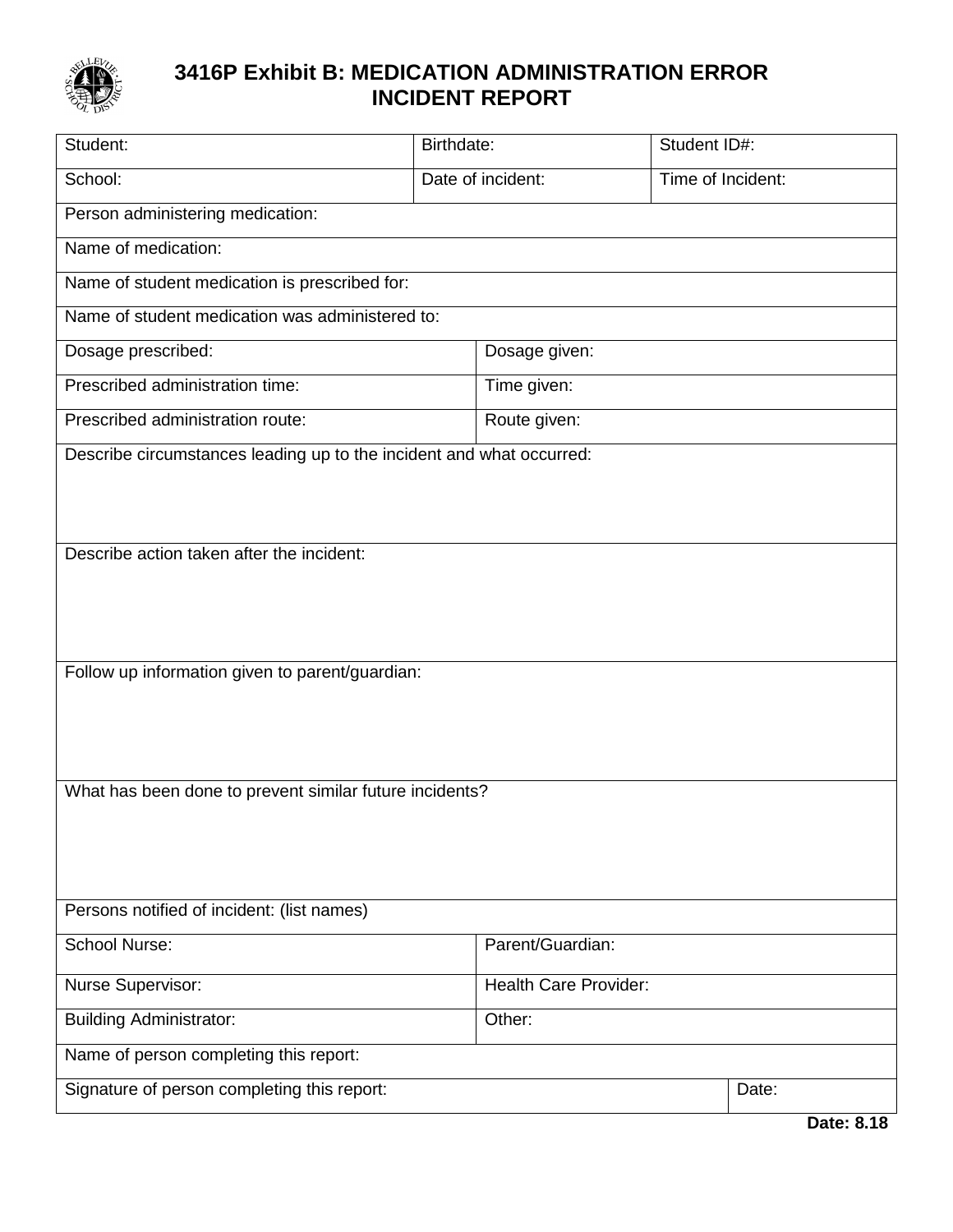

## **3416P Exhibit B: MEDICATION ADMINISTRATION ERROR INCIDENT REPORT**

| Student:                                                             | Birthdate:        |                              | Student ID#:      |
|----------------------------------------------------------------------|-------------------|------------------------------|-------------------|
| School:                                                              | Date of incident: |                              | Time of Incident: |
| Person administering medication:                                     |                   |                              |                   |
| Name of medication:                                                  |                   |                              |                   |
| Name of student medication is prescribed for:                        |                   |                              |                   |
| Name of student medication was administered to:                      |                   |                              |                   |
| Dosage prescribed:                                                   |                   | Dosage given:                |                   |
| Prescribed administration time:                                      |                   | Time given:                  |                   |
| Prescribed administration route:                                     | Route given:      |                              |                   |
| Describe circumstances leading up to the incident and what occurred: |                   |                              |                   |
|                                                                      |                   |                              |                   |
|                                                                      |                   |                              |                   |
| Describe action taken after the incident:                            |                   |                              |                   |
|                                                                      |                   |                              |                   |
|                                                                      |                   |                              |                   |
| Follow up information given to parent/guardian:                      |                   |                              |                   |
|                                                                      |                   |                              |                   |
|                                                                      |                   |                              |                   |
|                                                                      |                   |                              |                   |
| What has been done to prevent similar future incidents?              |                   |                              |                   |
|                                                                      |                   |                              |                   |
|                                                                      |                   |                              |                   |
| Persons notified of incident: (list names)                           |                   |                              |                   |
| <b>School Nurse:</b>                                                 | Parent/Guardian:  |                              |                   |
| <b>Nurse Supervisor:</b>                                             |                   | <b>Health Care Provider:</b> |                   |
| <b>Building Administrator:</b>                                       | Other:            |                              |                   |
| Name of person completing this report:                               |                   |                              |                   |
| Signature of person completing this report:                          |                   |                              | Date:             |